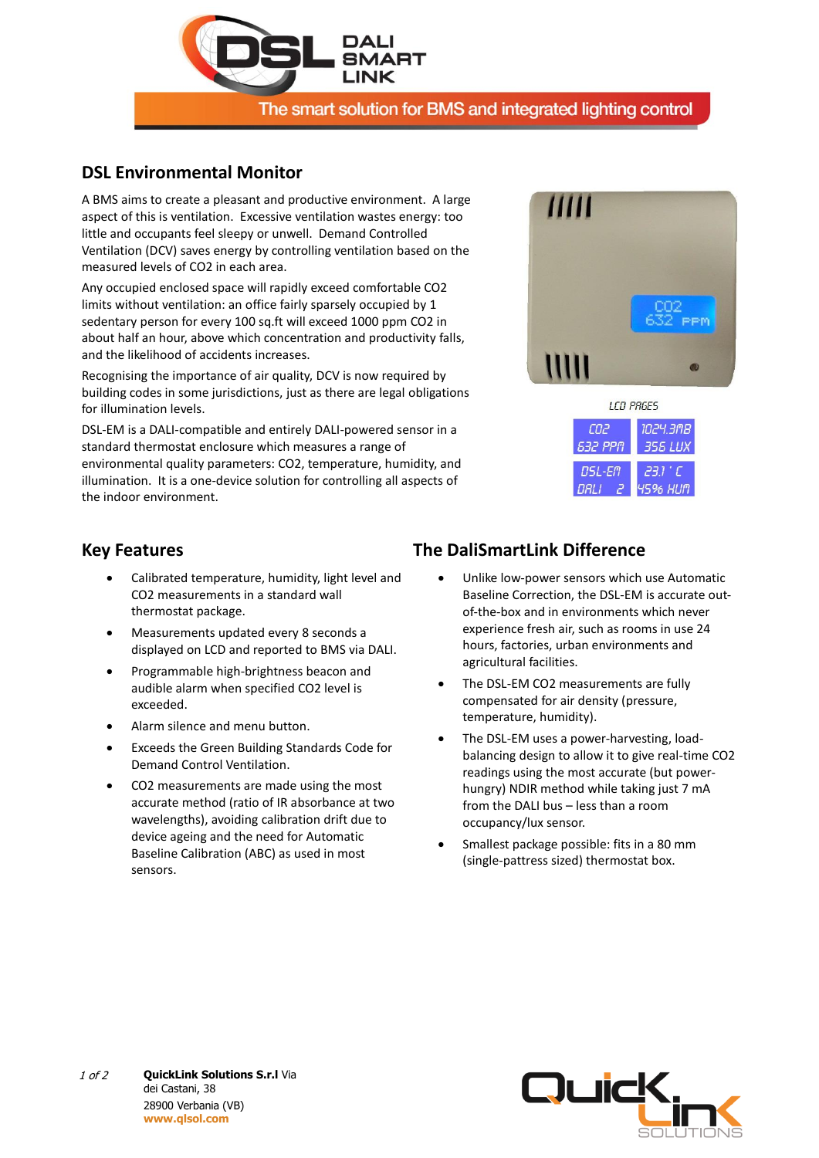

### **DSL Environmental Monitor**

A BMS aims to create a pleasant and productive environment. A large aspect of this is ventilation. Excessive ventilation wastes energy: too little and occupants feel sleepy or unwell. Demand Controlled Ventilation (DCV) saves energy by controlling ventilation based on the measured levels of CO2 in each area.

Any occupied enclosed space will rapidly exceed comfortable CO2 limits without ventilation: an office fairly sparsely occupied by 1 sedentary person for every 100 sq.ft will exceed 1000 ppm CO2 in about half an hour, above which concentration and productivity falls, and the likelihood of accidents increases.

Recognising the importance of air quality, DCV is now required by building codes in some jurisdictions, just as there are legal obligations for illumination levels.

DSL-EM is a DALI-compatible and entirely DALI-powered sensor in a standard thermostat enclosure which measures a range of environmental quality parameters: CO2, temperature, humidity, and illumination. It is a one-device solution for controlling all aspects of the indoor environment.





#### **Key Features**

- Calibrated temperature, humidity, light level and CO2 measurements in a standard wall thermostat package.
- Measurements updated every 8 seconds a displayed on LCD and reported to BMS via DALI.
- Programmable high-brightness beacon and audible alarm when specified CO2 level is exceeded.
- Alarm silence and menu button.
- Exceeds the Green Building Standards Code for Demand Control Ventilation.
- CO2 measurements are made using the most accurate method (ratio of IR absorbance at two wavelengths), avoiding calibration drift due to device ageing and the need for Automatic Baseline Calibration (ABC) as used in most sensors.

# **The DaliSmartLink Difference**

- Unlike low-power sensors which use Automatic Baseline Correction, the DSL-EM is accurate outof-the-box and in environments which never experience fresh air, such as rooms in use 24 hours, factories, urban environments and agricultural facilities.
- The DSL-EM CO2 measurements are fully compensated for air density (pressure, temperature, humidity).
- The DSL-EM uses a power-harvesting, loadbalancing design to allow it to give real-time CO2 readings using the most accurate (but powerhungry) NDIR method while taking just 7 mA from the DALI bus – less than a room occupancy/lux sensor.
- Smallest package possible: fits in a 80 mm (single-pattress sized) thermostat box.